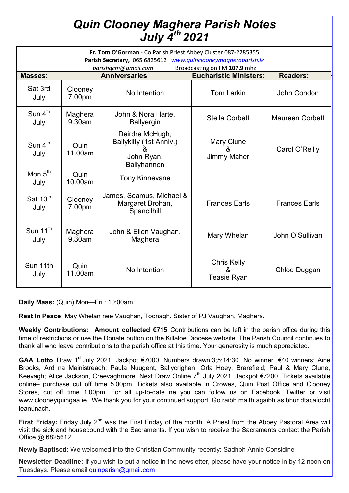## *Quin Clooney Maghera Parish Notes July 4th 2021*

| Fr. Tom O'Gorman - Co Parish Priest Abbey Cluster 087-2285355<br>Parish Secretary, 065 6825612 www.quinclooneymagheraparish.ie<br>Broadcasting on FM 107.9 mhz<br>parishqcm@gmail.com |                   |                                                                              |                                               |                        |
|---------------------------------------------------------------------------------------------------------------------------------------------------------------------------------------|-------------------|------------------------------------------------------------------------------|-----------------------------------------------|------------------------|
| <b>Masses:</b>                                                                                                                                                                        |                   | <b>Anniversaries</b>                                                         | <b>Eucharistic Ministers:</b>                 | <b>Readers:</b>        |
| Sat 3rd<br>July                                                                                                                                                                       | Clooney<br>7.00pm | No Intention                                                                 | <b>Tom Larkin</b>                             | John Condon            |
| Sun $4^{\text{th}}$<br>July                                                                                                                                                           | Maghera<br>9.30am | John & Nora Harte,<br><b>Ballyergin</b>                                      | <b>Stella Corbett</b>                         | <b>Maureen Corbett</b> |
| Sun $4th$<br>July                                                                                                                                                                     | Quin<br>11.00am   | Deirdre McHugh,<br>Ballykilty (1st Anniv.)<br>&<br>John Ryan,<br>Ballyhannon | Mary Clune<br>&<br><b>Jimmy Maher</b>         | Carol O'Reilly         |
| Mon $5th$<br>July                                                                                                                                                                     | Quin<br>10.00am   | <b>Tony Kinnevane</b>                                                        |                                               |                        |
| Sat 10 <sup>th</sup><br>July                                                                                                                                                          | Clooney<br>7.00pm | James, Seamus, Michael &<br>Margaret Brohan,<br>Spancilhill                  | <b>Frances Earls</b>                          | <b>Frances Earls</b>   |
| Sun 11 <sup>th</sup><br>July                                                                                                                                                          | Maghera<br>9.30am | John & Ellen Vaughan,<br>Maghera                                             | Mary Whelan                                   | John O'Sullivan        |
| Sun 11th<br>July                                                                                                                                                                      | Quin<br>11.00am   | No Intention                                                                 | <b>Chris Kelly</b><br>&<br><b>Teasie Ryan</b> | Chloe Duggan           |

**Daily Mass:** (Quin) Mon—Fri.: 10:00am

**Rest In Peace:** May Whelan nee Vaughan, Toonagh. Sister of PJ Vaughan, Maghera.

**Weekly Contributions: Amount collected €715** Contributions can be left in the parish office during this time of restrictions or use the Donate button on the Killaloe Diocese website. The Parish Council continues to thank all who leave contributions to the parish office at this time. Your generosity is much appreciated.

GAA Lotto Draw 1<sup>st</sup> July 2021. Jackpot €7000. Numbers drawn:3;5;14;30. No winner. €40 winners: Aine Brooks, Ard na Mainistreach; Paula Nuugent, Ballycrighan; Orla Hoey, Brarefield; Paul & Mary Clune, Keevagh; Alice Jackson, Creevaghmore. Next Draw Online 7<sup>th</sup> July 2021. Jackpot €7200. Tickets available online– purchase cut off time 5.00pm. Tickets also available in Crowes, Quin Post Office and Clooney Stores, cut off time 1.00pm. For all up-to-date ne you can follow us on Facebook, Twitter or visit www.clooneyquingaa.ie. We thank you for your continued support. Go raibh maith agaibh as bhur dtacaíocht leanúnach.

**First Friday:** Friday July 2<sup>nd</sup> was the First Friday of the month. A Priest from the Abbey Pastoral Area will visit the sick and housebound with the Sacraments. If you wish to receive the Sacraments contact the Parish Office @ 6825612.

**Newly Baptised:** We welcomed into the Christian Community recently: Sadhbh Annie Considine

**Newsletter Deadline:** If you wish to put a notice in the newsletter, please have your notice in by 12 noon on Tuesdays. Please email [quinparish@gmail.com](mailto:quinparish@gmail.com)